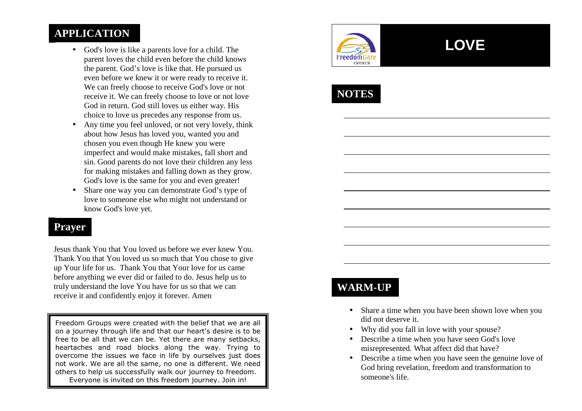#### **APPLICATION**

- God's love is like a parents love for a child. The parent loves the child even before the child knows the parent. God's love is like that. He pursued us even before we knew it or were ready to receive it. We can freely choose to receive God's love or not receive it. We can freely choose to love or not love God in return. God still loves us either way. His choice to love us precedes any response from us.
- Any time you feel unloved, or not very lovely, think about how Jesus has loved you, wanted you and chosen you even though He knew you were imperfect and would make mistakes, fall short and sin. Good parents do not love their children any less for making mistakes and falling down as they grow. God's love is the same for you and even greater!
- $\bullet$  Share one way you can demonstrate God's type of love to someone else who might not understand or know God's love yet.

#### **Prayer**

Jesus thank You that You loved us before we ever knew You. Thank You that You loved us so much that You chose to give up Your life for us. Thank You that Your love for us came before anything we ever did or failed to do. Jesus help us to truly understand the love You have for us so that we can receive it and confidently enjoy it forever. Amen

Freedom Groups were created with the belief that we are all on a journey through life and that our heart's desire is to be free to be all that we can be. Yet there are many setbacks, heartaches and road blocks along the way. Trying to overcome the issues we face in life by ourselves just does not work. We are all the same, no one is different. We need others to help us successfully walk our journey to freedom. Everyone is invited on this freedom journey. Join in!



# **LOVE**



### **WARM-UP**

- Share a time when you have been shown love when youdid not deserve it.
- Why did you fall in love with your spouse?
- Describe a time when you have seen God's love misrepresented. What affect did that have?
- Describe a time when you have seen the genuine love of God bring revelation, freedom and transformation tosomeone's life.